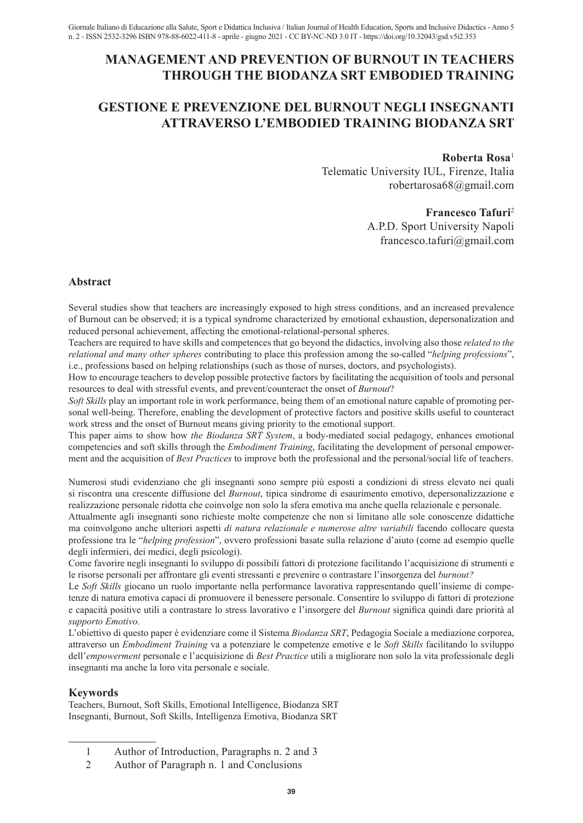# **MANAGEMENT AND PREVENTION OF BURNOUT IN TEACHERS THROUGH THE BIODANZA SRT EMBODIED TRAINING**

# **GESTIONE E PREVENZIONE DEL BURNOUT NEGLI INSEGNANTI ATTRAVERSO L'EMBODIED TRAINING BIODANZA SRT**

### **Roberta Rosa**<sup>1</sup>

Telematic University IUL, Firenze, Italia robertarosa68@gmail.com

### **Francesco Tafuri**<sup>2</sup>

A.P.D. Sport University Napoli francesco.tafuri@gmail.com

# **Abstract**

Several studies show that teachers are increasingly exposed to high stress conditions, and an increased prevalence of Burnout can be observed; it is a typical syndrome characterized by emotional exhaustion, depersonalization and reduced personal achievement, affecting the emotional-relational-personal spheres.

Teachers are required to have skills and competences that go beyond the didactics, involving also those *related to the relational and many other spheres* contributing to place this profession among the so-called "*helping professions*", i.e., professions based on helping relationships (such as those of nurses, doctors, and psychologists).

How to encourage teachers to develop possible protective factors by facilitating the acquisition of tools and personal resources to deal with stressful events, and prevent/counteract the onset of *Burnout*?

*Soft Skills* play an important role in work performance, being them of an emotional nature capable of promoting personal well-being. Therefore, enabling the development of protective factors and positive skills useful to counteract work stress and the onset of Burnout means giving priority to the emotional support.

This paper aims to show how *the Biodanza SRT System*, a body-mediated social pedagogy, enhances emotional competencies and soft skills through the *Embodiment Training*, facilitating the development of personal empowerment and the acquisition of *Best Practices* to improve both the professional and the personal/social life of teachers.

Numerosi studi evidenziano che gli insegnanti sono sempre più esposti a condizioni di stress elevato nei quali si riscontra una crescente diffusione del *Burnout*, tipica sindrome di esaurimento emotivo, depersonalizzazione e realizzazione personale ridotta che coinvolge non solo la sfera emotiva ma anche quella relazionale e personale.

Attualmente agli insegnanti sono richieste molte competenze che non si limitano alle sole conoscenze didattiche ma coinvolgono anche ulteriori aspetti *di natura relazionale e numerose altre variabili* facendo collocare questa professione tra le "*helping profession*", ovvero professioni basate sulla relazione d'aiuto (come ad esempio quelle degli infermieri, dei medici, degli psicologi).

Come favorire negli insegnanti lo sviluppo di possibili fattori di protezione facilitando l'acquisizione di strumenti e le risorse personali per affrontare gli eventi stressanti e prevenire o contrastare l'insorgenza del *burnout?*

Le *Soft Skills* giocano un ruolo importante nella performance lavorativa rappresentando quell'insieme di competenze di natura emotiva capaci di promuovere il benessere personale. Consentire lo sviluppo di fattori di protezione e capacità positive utili a contrastare lo stress lavorativo e l'insorgere del *Burnout* significa quindi dare priorità al *supporto Emotivo.*

L'obiettivo di questo paper è evidenziare come il Sistema *Biodanza SRT*, Pedagogia Sociale a mediazione corporea, attraverso un *Embodiment Training* va a potenziare le competenze emotive e le *Soft Skills* facilitando lo sviluppo dell'*empowerment* personale e l'acquisizione di *Best Practice* utili a migliorare non solo la vita professionale degli insegnanti ma anche la loro vita personale e sociale.

## **Keywords**

Teachers, Burnout, Soft Skills, Emotional Intelligence, Biodanza SRT Insegnanti, Burnout, Soft Skills, Intelligenza Emotiva, Biodanza SRT

- 1 Author of Introduction, Paragraphs n. 2 and 3
- 2 Author of Paragraph n. 1 and Conclusions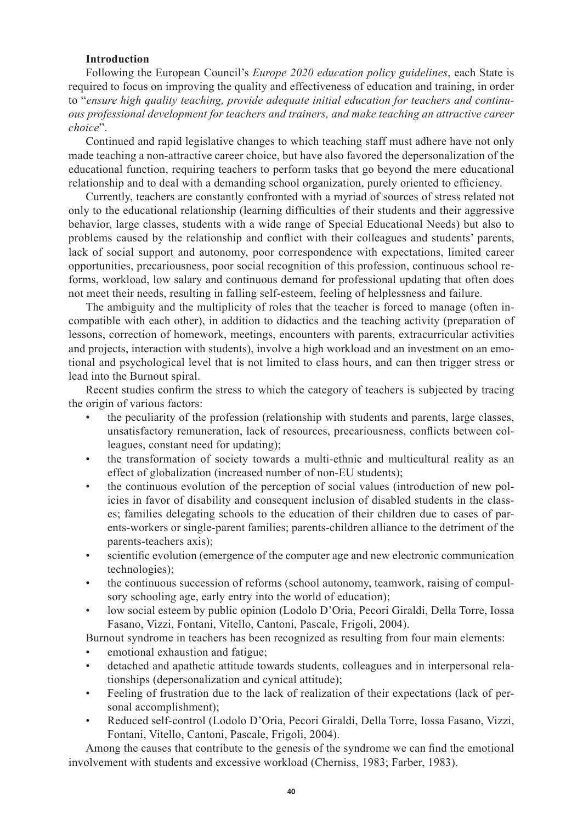## **Introduction**

Following the European Council's *Europe 2020 education policy guidelines*, each State is required to focus on improving the quality and effectiveness of education and training, in order to "*ensure high quality teaching, provide adequate initial education for teachers and continuous professional development for teachers and trainers, and make teaching an attractive career choice*".

Continued and rapid legislative changes to which teaching staff must adhere have not only made teaching a non-attractive career choice, but have also favored the depersonalization of the educational function, requiring teachers to perform tasks that go beyond the mere educational relationship and to deal with a demanding school organization, purely oriented to efficiency.

Currently, teachers are constantly confronted with a myriad of sources of stress related not only to the educational relationship (learning difficulties of their students and their aggressive behavior, large classes, students with a wide range of Special Educational Needs) but also to problems caused by the relationship and conflict with their colleagues and students' parents, lack of social support and autonomy, poor correspondence with expectations, limited career opportunities, precariousness, poor social recognition of this profession, continuous school reforms, workload, low salary and continuous demand for professional updating that often does not meet their needs, resulting in falling self-esteem, feeling of helplessness and failure.

The ambiguity and the multiplicity of roles that the teacher is forced to manage (often incompatible with each other), in addition to didactics and the teaching activity (preparation of lessons, correction of homework, meetings, encounters with parents, extracurricular activities and projects, interaction with students), involve a high workload and an investment on an emotional and psychological level that is not limited to class hours, and can then trigger stress or lead into the Burnout spiral.

Recent studies confirm the stress to which the category of teachers is subjected by tracing the origin of various factors:

- the peculiarity of the profession (relationship with students and parents, large classes, unsatisfactory remuneration, lack of resources, precariousness, conflicts between colleagues, constant need for updating);
- the transformation of society towards a multi-ethnic and multicultural reality as an effect of globalization (increased number of non-EU students);
- the continuous evolution of the perception of social values (introduction of new policies in favor of disability and consequent inclusion of disabled students in the classes; families delegating schools to the education of their children due to cases of parents-workers or single-parent families; parents-children alliance to the detriment of the parents-teachers axis);
- scientific evolution (emergence of the computer age and new electronic communication technologies);
- the continuous succession of reforms (school autonomy, teamwork, raising of compulsory schooling age, early entry into the world of education);
- low social esteem by public opinion (Lodolo D'Oria, Pecori Giraldi, Della Torre, Iossa Fasano, Vizzi, Fontani, Vitello, Cantoni, Pascale, Frigoli, 2004).

Burnout syndrome in teachers has been recognized as resulting from four main elements:

- emotional exhaustion and fatigue;
- detached and apathetic attitude towards students, colleagues and in interpersonal relationships (depersonalization and cynical attitude);
- Feeling of frustration due to the lack of realization of their expectations (lack of personal accomplishment);
- Reduced self-control (Lodolo D'Oria, Pecori Giraldi, Della Torre, Iossa Fasano, Vizzi, Fontani, Vitello, Cantoni, Pascale, Frigoli, 2004).

Among the causes that contribute to the genesis of the syndrome we can find the emotional involvement with students and excessive workload (Cherniss, 1983; Farber, 1983).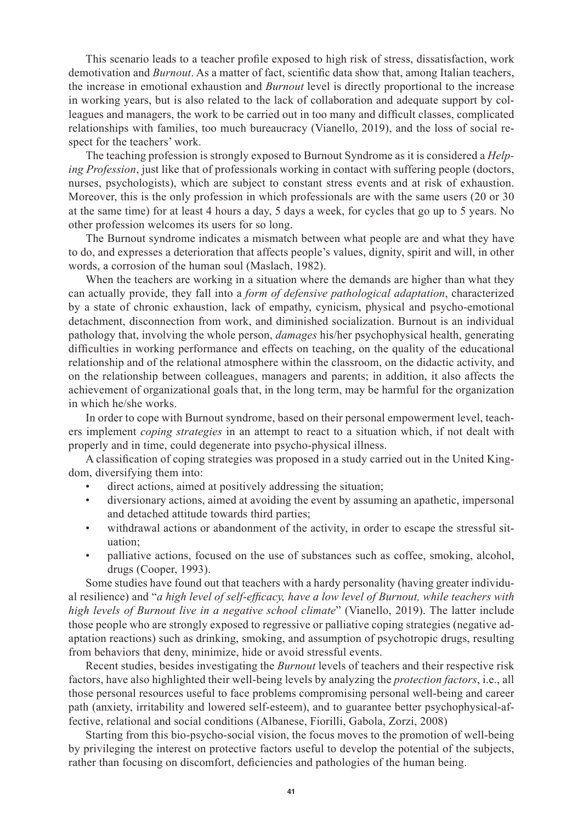This scenario leads to a teacher profile exposed to high risk of stress, dissatisfaction, work demotivation and *Burnout*. As a matter of fact, scientific data show that, among Italian teachers, the increase in emotional exhaustion and *Burnout* level is directly proportional to the increase in working years, but is also related to the lack of collaboration and adequate support by colleagues and managers, the work to be carried out in too many and difficult classes, complicated relationships with families, too much bureaucracy (Vianello, 2019), and the loss of social respect for the teachers' work.

The teaching profession is strongly exposed to Burnout Syndrome as it is considered a *Helping Profession*, just like that of professionals working in contact with suffering people (doctors, nurses, psychologists), which are subject to constant stress events and at risk of exhaustion. Moreover, this is the only profession in which professionals are with the same users (20 or 30 at the same time) for at least 4 hours a day, 5 days a week, for cycles that go up to 5 years. No other profession welcomes its users for so long.

The Burnout syndrome indicates a mismatch between what people are and what they have to do, and expresses a deterioration that affects people's values, dignity, spirit and will, in other words, a corrosion of the human soul (Maslach, 1982).

When the teachers are working in a situation where the demands are higher than what they can actually provide, they fall into a *form of defensive pathological adaptation*, characterized by a state of chronic exhaustion, lack of empathy, cynicism, physical and psycho-emotional detachment, disconnection from work, and diminished socialization. Burnout is an individual pathology that, involving the whole person, *damages* his/her psychophysical health, generating difficulties in working performance and effects on teaching, on the quality of the educational relationship and of the relational atmosphere within the classroom, on the didactic activity, and on the relationship between colleagues, managers and parents; in addition, it also affects the achievement of organizational goals that, in the long term, may be harmful for the organization in which he/she works.

In order to cope with Burnout syndrome, based on their personal empowerment level, teachers implement *coping strategies* in an attempt to react to a situation which, if not dealt with properly and in time, could degenerate into psycho-physical illness.

A classification of coping strategies was proposed in a study carried out in the United Kingdom, diversifying them into:

- direct actions, aimed at positively addressing the situation;
- diversionary actions, aimed at avoiding the event by assuming an apathetic, impersonal and detached attitude towards third parties;
- withdrawal actions or abandonment of the activity, in order to escape the stressful situation;
- palliative actions, focused on the use of substances such as coffee, smoking, alcohol, drugs (Cooper, 1993).

Some studies have found out that teachers with a hardy personality (having greater individual resilience) and "*a high level of self-efficacy, have a low level of Burnout, while teachers with high levels of Burnout live in a negative school climate*" (Vianello, 2019). The latter include those people who are strongly exposed to regressive or palliative coping strategies (negative adaptation reactions) such as drinking, smoking, and assumption of psychotropic drugs, resulting from behaviors that deny, minimize, hide or avoid stressful events.

Recent studies, besides investigating the *Burnout* levels of teachers and their respective risk factors, have also highlighted their well-being levels by analyzing the *protection factors*, i.e., all those personal resources useful to face problems compromising personal well-being and career path (anxiety, irritability and lowered self-esteem), and to guarantee better psychophysical-affective, relational and social conditions (Albanese, Fiorilli, Gabola, Zorzi, 2008)

Starting from this bio-psycho-social vision, the focus moves to the promotion of well-being by privileging the interest on protective factors useful to develop the potential of the subjects, rather than focusing on discomfort, deficiencies and pathologies of the human being.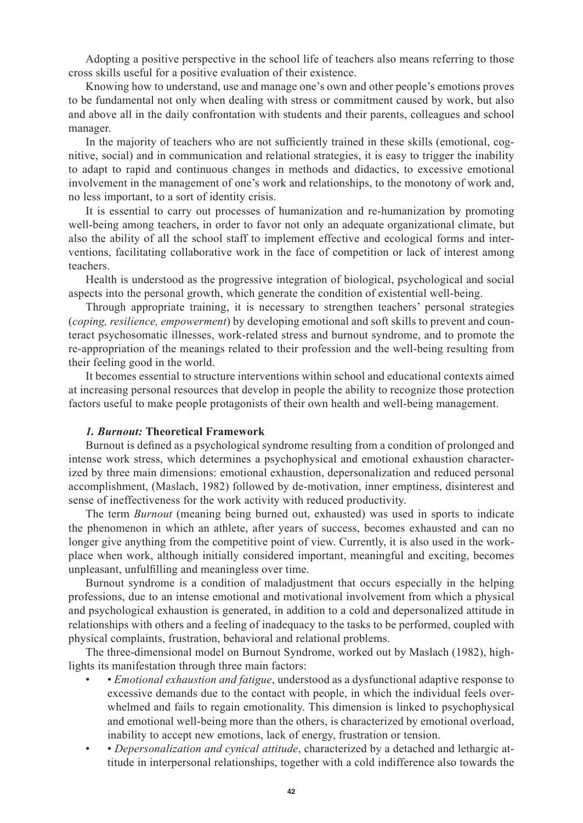Adopting a positive perspective in the school life of teachers also means referring to those cross skills useful for a positive evaluation of their existence.

Knowing how to understand, use and manage one's own and other people's emotions proves to be fundamental not only when dealing with stress or commitment caused by work, but also and above all in the daily confrontation with students and their parents, colleagues and school manager.

In the majority of teachers who are not sufficiently trained in these skills (emotional, cognitive, social) and in communication and relational strategies, it is easy to trigger the inability to adapt to rapid and continuous changes in methods and didactics, to excessive emotional involvement in the management of one's work and relationships, to the monotony of work and, no less important, to a sort of identity crisis.

It is essential to carry out processes of humanization and re-humanization by promoting well-being among teachers, in order to favor not only an adequate organizational climate, but also the ability of all the school staff to implement effective and ecological forms and interventions, facilitating collaborative work in the face of competition or lack of interest among teachers.

Health is understood as the progressive integration of biological, psychological and social aspects into the personal growth, which generate the condition of existential well-being.

Through appropriate training, it is necessary to strengthen teachers' personal strategies (*coping, resilience, empowerment*) by developing emotional and soft skills to prevent and counteract psychosomatic illnesses, work-related stress and burnout syndrome, and to promote the re-appropriation of the meanings related to their profession and the well-being resulting from their feeling good in the world.

It becomes essential to structure interventions within school and educational contexts aimed at increasing personal resources that develop in people the ability to recognize those protection factors useful to make people protagonists of their own health and well-being management.

#### *1. Burnout:* **Theoretical Framework**

Burnout is defined as a psychological syndrome resulting from a condition of prolonged and intense work stress, which determines a psychophysical and emotional exhaustion characterized by three main dimensions: emotional exhaustion, depersonalization and reduced personal accomplishment, (Maslach, 1982) followed by de-motivation, inner emptiness, disinterest and sense of ineffectiveness for the work activity with reduced productivity.

The term *Burnout* (meaning being burned out, exhausted) was used in sports to indicate the phenomenon in which an athlete, after years of success, becomes exhausted and can no longer give anything from the competitive point of view. Currently, it is also used in the workplace when work, although initially considered important, meaningful and exciting, becomes unpleasant, unfulfilling and meaningless over time.

Burnout syndrome is a condition of maladjustment that occurs especially in the helping professions, due to an intense emotional and motivational involvement from which a physical and psychological exhaustion is generated, in addition to a cold and depersonalized attitude in relationships with others and a feeling of inadequacy to the tasks to be performed, coupled with physical complaints, frustration, behavioral and relational problems.

The three-dimensional model on Burnout Syndrome, worked out by Maslach (1982), highlights its manifestation through three main factors:

- • *Emotional exhaustion and fatigue*, understood as a dysfunctional adaptive response to excessive demands due to the contact with people, in which the individual feels overwhelmed and fails to regain emotionality. This dimension is linked to psychophysical and emotional well-being more than the others, is characterized by emotional overload, inability to accept new emotions, lack of energy, frustration or tension.
- • *Depersonalization and cynical attitude*, characterized by a detached and lethargic attitude in interpersonal relationships, together with a cold indifference also towards the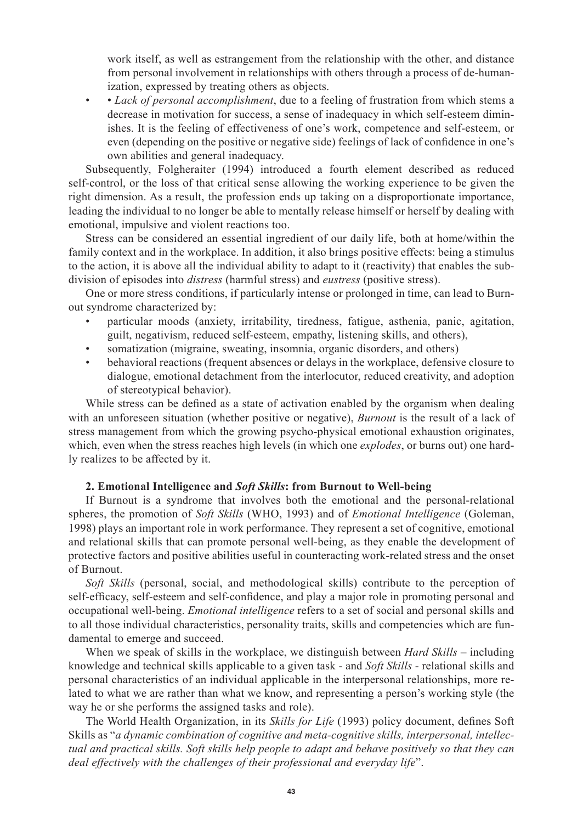work itself, as well as estrangement from the relationship with the other, and distance from personal involvement in relationships with others through a process of de-humanization, expressed by treating others as objects.

• • *Lack of personal accomplishment*, due to a feeling of frustration from which stems a decrease in motivation for success, a sense of inadequacy in which self-esteem diminishes. It is the feeling of effectiveness of one's work, competence and self-esteem, or even (depending on the positive or negative side) feelings of lack of confidence in one's own abilities and general inadequacy.

Subsequently, Folgheraiter (1994) introduced a fourth element described as reduced self-control, or the loss of that critical sense allowing the working experience to be given the right dimension. As a result, the profession ends up taking on a disproportionate importance, leading the individual to no longer be able to mentally release himself or herself by dealing with emotional, impulsive and violent reactions too.

Stress can be considered an essential ingredient of our daily life, both at home/within the family context and in the workplace. In addition, it also brings positive effects: being a stimulus to the action, it is above all the individual ability to adapt to it (reactivity) that enables the subdivision of episodes into *distress* (harmful stress) and *eustress* (positive stress).

One or more stress conditions, if particularly intense or prolonged in time, can lead to Burnout syndrome characterized by:

- particular moods (anxiety, irritability, tiredness, fatigue, asthenia, panic, agitation, guilt, negativism, reduced self-esteem, empathy, listening skills, and others),
- somatization (migraine, sweating, insomnia, organic disorders, and others)
- behavioral reactions (frequent absences or delays in the workplace, defensive closure to dialogue, emotional detachment from the interlocutor, reduced creativity, and adoption of stereotypical behavior).

While stress can be defined as a state of activation enabled by the organism when dealing with an unforeseen situation (whether positive or negative), *Burnout* is the result of a lack of stress management from which the growing psycho-physical emotional exhaustion originates, which, even when the stress reaches high levels (in which one *explodes*, or burns out) one hardly realizes to be affected by it.

### **2. Emotional Intelligence and** *Soft Skills***: from Burnout to Well-being**

If Burnout is a syndrome that involves both the emotional and the personal-relational spheres, the promotion of *Soft Skills* (WHO, 1993) and of *Emotional Intelligence* (Goleman, 1998) plays an important role in work performance. They represent a set of cognitive, emotional and relational skills that can promote personal well-being, as they enable the development of protective factors and positive abilities useful in counteracting work-related stress and the onset of Burnout.

*Soft Skills* (personal, social, and methodological skills) contribute to the perception of self-efficacy, self-esteem and self-confidence, and play a major role in promoting personal and occupational well-being. *Emotional intelligence* refers to a set of social and personal skills and to all those individual characteristics, personality traits, skills and competencies which are fundamental to emerge and succeed.

When we speak of skills in the workplace, we distinguish between *Hard Skills* – including knowledge and technical skills applicable to a given task - and *Soft Skills* - relational skills and personal characteristics of an individual applicable in the interpersonal relationships, more related to what we are rather than what we know, and representing a person's working style (the way he or she performs the assigned tasks and role).

The World Health Organization, in its *Skills for Life* (1993) policy document, defines Soft Skills as "*a dynamic combination of cognitive and meta-cognitive skills, interpersonal, intellectual and practical skills. Soft skills help people to adapt and behave positively so that they can deal effectively with the challenges of their professional and everyday life*".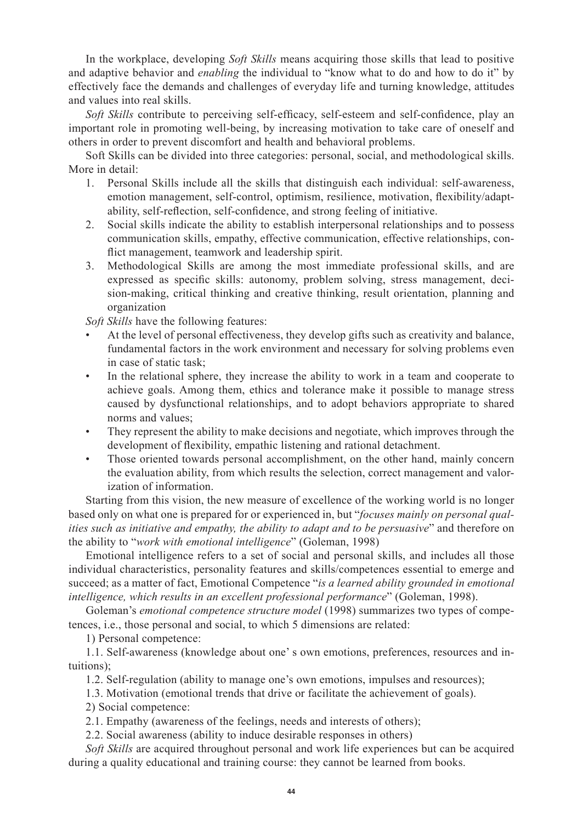In the workplace, developing *Soft Skills* means acquiring those skills that lead to positive and adaptive behavior and *enabling* the individual to "know what to do and how to do it" by effectively face the demands and challenges of everyday life and turning knowledge, attitudes and values into real skills.

*Soft Skills* contribute to perceiving self-efficacy, self-esteem and self-confidence, play an important role in promoting well-being, by increasing motivation to take care of oneself and others in order to prevent discomfort and health and behavioral problems.

Soft Skills can be divided into three categories: personal, social, and methodological skills. More in detail:

- 1. Personal Skills include all the skills that distinguish each individual: self-awareness, emotion management, self-control, optimism, resilience, motivation, flexibility/adaptability, self-reflection, self-confidence, and strong feeling of initiative.
- 2. Social skills indicate the ability to establish interpersonal relationships and to possess communication skills, empathy, effective communication, effective relationships, conflict management, teamwork and leadership spirit.
- 3. Methodological Skills are among the most immediate professional skills, and are expressed as specific skills: autonomy, problem solving, stress management, decision-making, critical thinking and creative thinking, result orientation, planning and organization

*Soft Skills* have the following features:

- At the level of personal effectiveness, they develop gifts such as creativity and balance, fundamental factors in the work environment and necessary for solving problems even in case of static task;
- In the relational sphere, they increase the ability to work in a team and cooperate to achieve goals. Among them, ethics and tolerance make it possible to manage stress caused by dysfunctional relationships, and to adopt behaviors appropriate to shared norms and values;
- They represent the ability to make decisions and negotiate, which improves through the development of flexibility, empathic listening and rational detachment.
- Those oriented towards personal accomplishment, on the other hand, mainly concern the evaluation ability, from which results the selection, correct management and valorization of information.

Starting from this vision, the new measure of excellence of the working world is no longer based only on what one is prepared for or experienced in, but "*focuses mainly on personal qualities such as initiative and empathy, the ability to adapt and to be persuasive*" and therefore on the ability to "*work with emotional intelligence*" (Goleman, 1998)

Emotional intelligence refers to a set of social and personal skills, and includes all those individual characteristics, personality features and skills/competences essential to emerge and succeed; as a matter of fact, Emotional Competence "*is a learned ability grounded in emotional intelligence, which results in an excellent professional performance*" (Goleman, 1998).

Goleman's *emotional competence structure model* (1998) summarizes two types of competences, i.e., those personal and social, to which 5 dimensions are related:

1) Personal competence:

1.1. Self-awareness (knowledge about one' s own emotions, preferences, resources and intuitions);

1.2. Self-regulation (ability to manage one's own emotions, impulses and resources);

1.3. Motivation (emotional trends that drive or facilitate the achievement of goals).

2) Social competence:

2.1. Empathy (awareness of the feelings, needs and interests of others);

2.2. Social awareness (ability to induce desirable responses in others)

*Soft Skills* are acquired throughout personal and work life experiences but can be acquired during a quality educational and training course: they cannot be learned from books.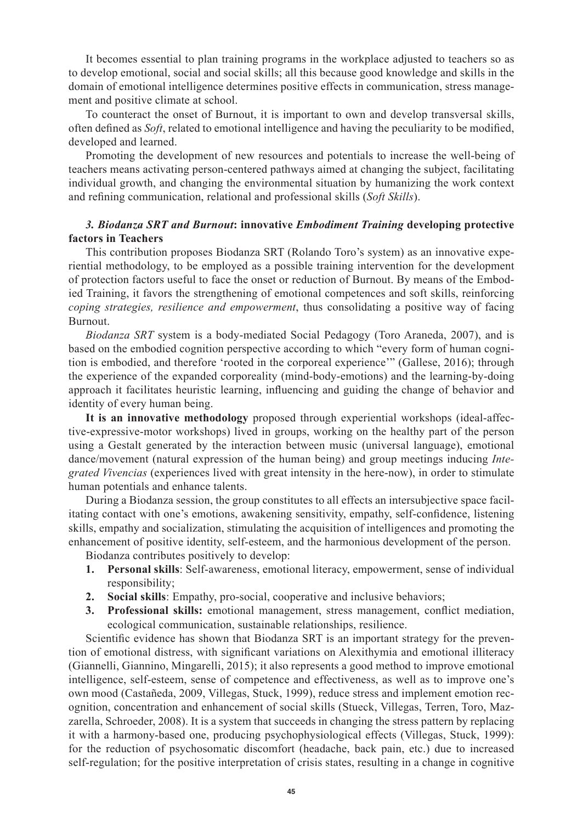It becomes essential to plan training programs in the workplace adjusted to teachers so as to develop emotional, social and social skills; all this because good knowledge and skills in the domain of emotional intelligence determines positive effects in communication, stress management and positive climate at school.

To counteract the onset of Burnout, it is important to own and develop transversal skills, often defined as *Soft*, related to emotional intelligence and having the peculiarity to be modified, developed and learned.

Promoting the development of new resources and potentials to increase the well-being of teachers means activating person-centered pathways aimed at changing the subject, facilitating individual growth, and changing the environmental situation by humanizing the work context and refining communication, relational and professional skills (*Soft Skills*).

# *3. Biodanza SRT and Burnout***: innovative** *Embodiment Training* **developing protective factors in Teachers**

This contribution proposes Biodanza SRT (Rolando Toro's system) as an innovative experiential methodology, to be employed as a possible training intervention for the development of protection factors useful to face the onset or reduction of Burnout. By means of the Embodied Training, it favors the strengthening of emotional competences and soft skills, reinforcing *coping strategies, resilience and empowerment*, thus consolidating a positive way of facing Burnout.

*Biodanza SRT* system is a body-mediated Social Pedagogy (Toro Araneda, 2007), and is based on the embodied cognition perspective according to which "every form of human cognition is embodied, and therefore 'rooted in the corporeal experience'" (Gallese, 2016); through the experience of the expanded corporeality (mind-body-emotions) and the learning-by-doing approach it facilitates heuristic learning, influencing and guiding the change of behavior and identity of every human being.

**It is an innovative methodology** proposed through experiential workshops (ideal-affective-expressive-motor workshops) lived in groups, working on the healthy part of the person using a Gestalt generated by the interaction between music (universal language), emotional dance/movement (natural expression of the human being) and group meetings inducing *Integrated Vivencias* (experiences lived with great intensity in the here-now), in order to stimulate human potentials and enhance talents.

During a Biodanza session, the group constitutes to all effects an intersubjective space facilitating contact with one's emotions, awakening sensitivity, empathy, self-confidence, listening skills, empathy and socialization, stimulating the acquisition of intelligences and promoting the enhancement of positive identity, self-esteem, and the harmonious development of the person.

Biodanza contributes positively to develop:

- **1. Personal skills**: Self-awareness, emotional literacy, empowerment, sense of individual responsibility;
- **2. Social skills**: Empathy, pro-social, cooperative and inclusive behaviors;
- **3. Professional skills:** emotional management, stress management, conflict mediation, ecological communication, sustainable relationships, resilience.

Scientific evidence has shown that Biodanza SRT is an important strategy for the prevention of emotional distress, with significant variations on Alexithymia and emotional illiteracy (Giannelli, Giannino, Mingarelli, 2015); it also represents a good method to improve emotional intelligence, self-esteem, sense of competence and effectiveness, as well as to improve one's own mood (Castañeda, 2009, Villegas, Stuck, 1999), reduce stress and implement emotion recognition, concentration and enhancement of social skills (Stueck, Villegas, Terren, Toro, Mazzarella, Schroeder, 2008). It is a system that succeeds in changing the stress pattern by replacing it with a harmony-based one, producing psychophysiological effects (Villegas, Stuck, 1999): for the reduction of psychosomatic discomfort (headache, back pain, etc.) due to increased self-regulation; for the positive interpretation of crisis states, resulting in a change in cognitive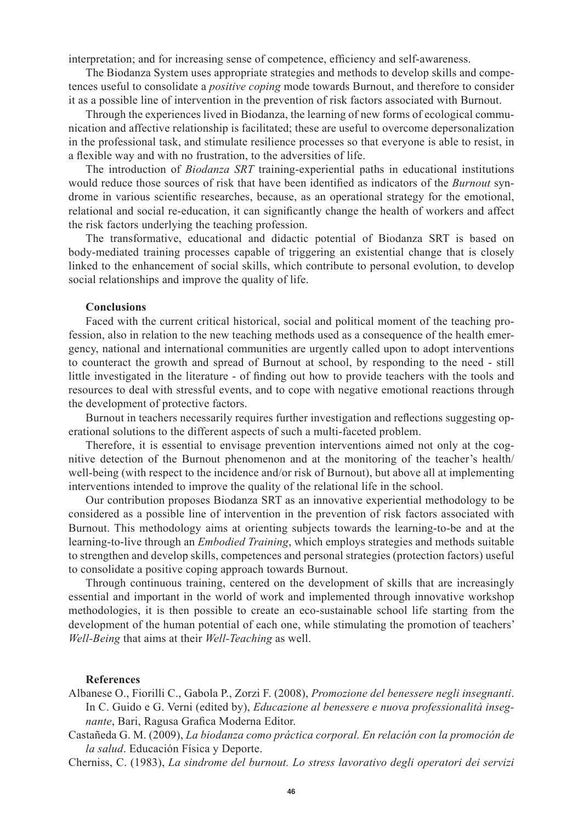interpretation; and for increasing sense of competence, efficiency and self-awareness.

The Biodanza System uses appropriate strategies and methods to develop skills and competences useful to consolidate a *positive coping* mode towards Burnout, and therefore to consider it as a possible line of intervention in the prevention of risk factors associated with Burnout.

Through the experiences lived in Biodanza, the learning of new forms of ecological communication and affective relationship is facilitated; these are useful to overcome depersonalization in the professional task, and stimulate resilience processes so that everyone is able to resist, in a flexible way and with no frustration, to the adversities of life.

The introduction of *Biodanza SRT* training-experiential paths in educational institutions would reduce those sources of risk that have been identified as indicators of the *Burnout* syndrome in various scientific researches, because, as an operational strategy for the emotional, relational and social re-education, it can significantly change the health of workers and affect the risk factors underlying the teaching profession.

The transformative, educational and didactic potential of Biodanza SRT is based on body-mediated training processes capable of triggering an existential change that is closely linked to the enhancement of social skills, which contribute to personal evolution, to develop social relationships and improve the quality of life.

#### **Conclusions**

Faced with the current critical historical, social and political moment of the teaching profession, also in relation to the new teaching methods used as a consequence of the health emergency, national and international communities are urgently called upon to adopt interventions to counteract the growth and spread of Burnout at school, by responding to the need - still little investigated in the literature - of finding out how to provide teachers with the tools and resources to deal with stressful events, and to cope with negative emotional reactions through the development of protective factors.

Burnout in teachers necessarily requires further investigation and reflections suggesting operational solutions to the different aspects of such a multi-faceted problem.

Therefore, it is essential to envisage prevention interventions aimed not only at the cognitive detection of the Burnout phenomenon and at the monitoring of the teacher's health/ well-being (with respect to the incidence and/or risk of Burnout), but above all at implementing interventions intended to improve the quality of the relational life in the school.

Our contribution proposes Biodanza SRT as an innovative experiential methodology to be considered as a possible line of intervention in the prevention of risk factors associated with Burnout. This methodology aims at orienting subjects towards the learning-to-be and at the learning-to-live through an *Embodied Training*, which employs strategies and methods suitable to strengthen and develop skills, competences and personal strategies (protection factors) useful to consolidate a positive coping approach towards Burnout.

Through continuous training, centered on the development of skills that are increasingly essential and important in the world of work and implemented through innovative workshop methodologies, it is then possible to create an eco-sustainable school life starting from the development of the human potential of each one, while stimulating the promotion of teachers' *Well-Being* that aims at their *Well-Teaching* as well.

#### **References**

Albanese O., Fiorilli C., Gabola P., Zorzi F. (2008), *Promozione del benessere negli insegnanti*. In C. Guido e G. Verni (edited by), *Educazione al benessere e nuova professionalità insegnante*, Bari, Ragusa Grafica Moderna Editor.

Castañeda G. M. (2009), *La biodanza como práctica corporal. En relación con la promoción de la salud*. Educación Física y Deporte.

Cherniss, C. (1983), *La sindrome del burnout. Lo stress lavorativo degli operatori dei servizi*